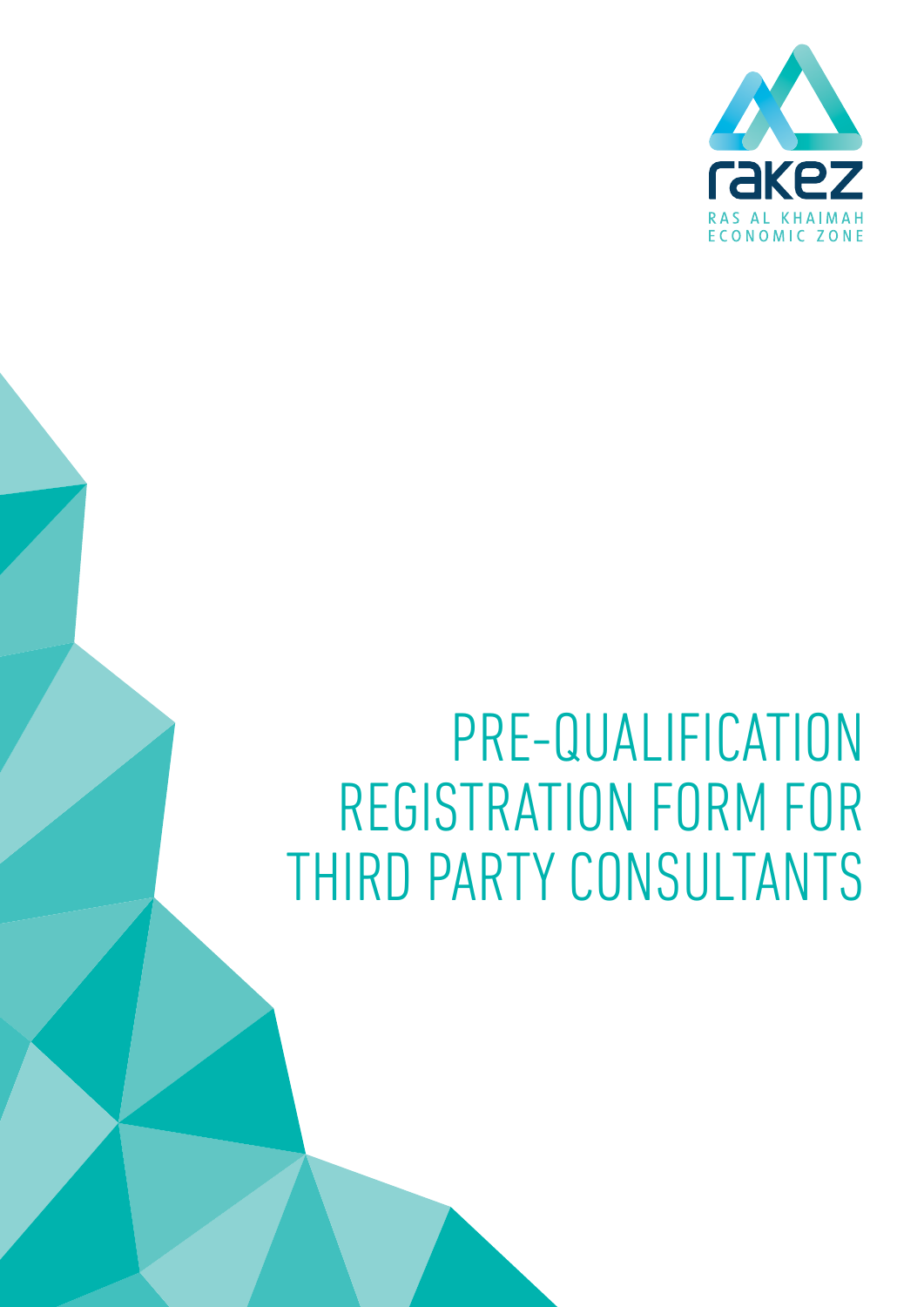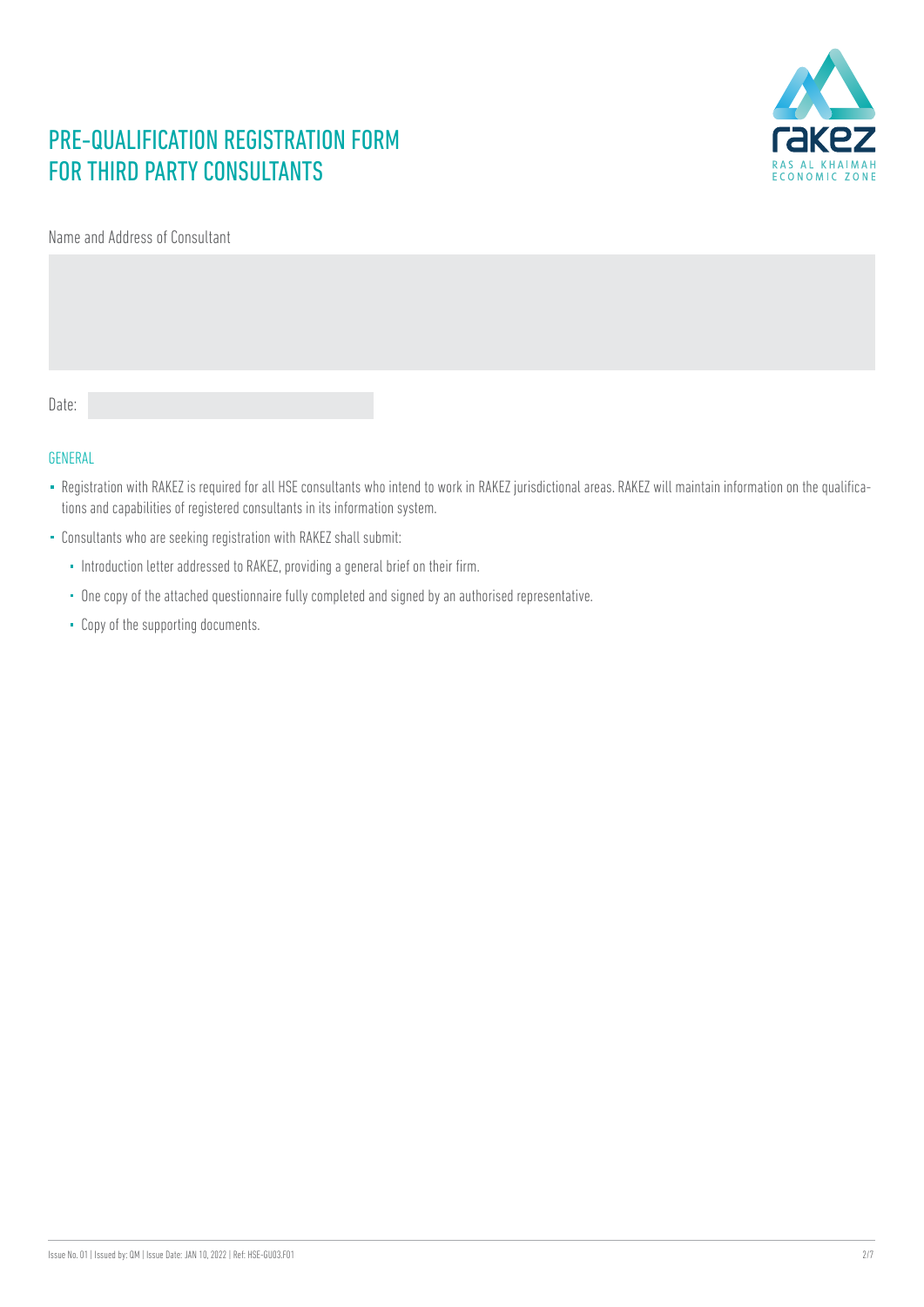

Name and Address of Consultant

Date:

#### GENERAL

- Registration with RAKEZ is required for all HSE consultants who intend to work in RAKEZ jurisdictional areas. RAKEZ will maintain information on the qualifications and capabilities of registered consultants in its information system.
- Consultants who are seeking registration with RAKEZ shall submit:
	- Introduction letter addressed to RAKEZ, providing a general brief on their firm.
	- One copy of the attached questionnaire fully completed and signed by an authorised representative.
	- Copy of the supporting documents.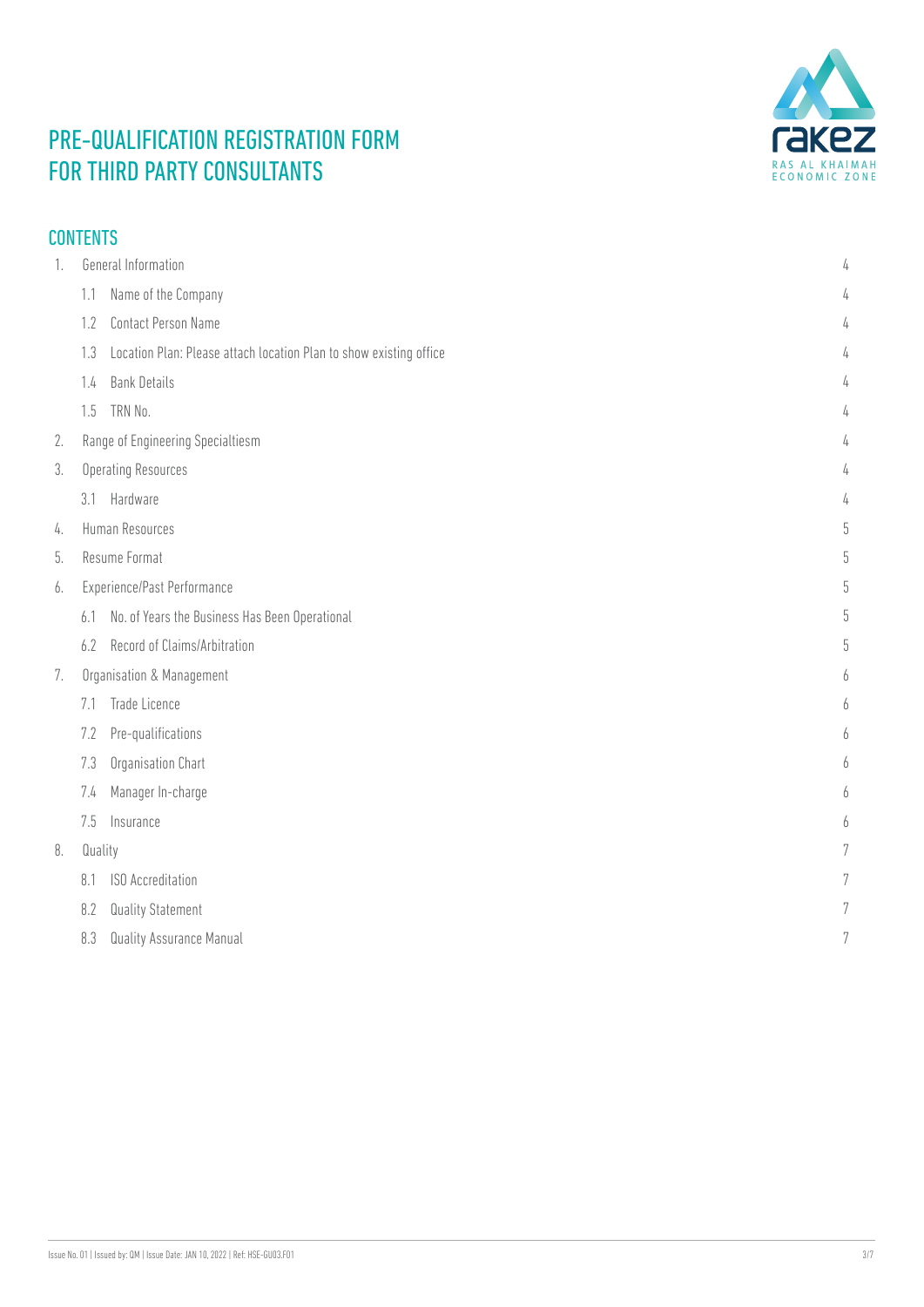

### CONTENTS

| 1. | <b>General Information</b>                                                | 4 |
|----|---------------------------------------------------------------------------|---|
|    | Name of the Company<br>1.1                                                | 4 |
|    | <b>Contact Person Name</b><br>1.2                                         | 4 |
|    | Location Plan: Please attach location Plan to show existing office<br>1.3 | 4 |
|    | <b>Bank Details</b><br>1.4                                                | 4 |
|    | TRN No.<br>1.5                                                            | 4 |
| 2. | Range of Engineering Specialtiesm                                         | 4 |
| 3. | <b>Operating Resources</b>                                                | 4 |
|    | Hardware<br>3.1                                                           | 4 |
| 4. | Human Resources                                                           | 5 |
| 5. | Resume Format                                                             | 5 |
| 6. | Experience/Past Performance                                               | 5 |
|    | No. of Years the Business Has Been Operational<br>6.1                     | 5 |
|    | Record of Claims/Arbitration<br>6.2                                       | 5 |
| 7. | Organisation & Management                                                 |   |
|    | Trade Licence<br>7.1                                                      | h |
|    | Pre-qualifications<br>7.2                                                 | h |
|    | Organisation Chart<br>7.3                                                 | h |
|    | Manager In-charge<br>7.4                                                  | 6 |
|    | 7.5<br>Insurance                                                          | 6 |
| 8. | Quality                                                                   | 7 |
|    | <b>ISO</b> Accreditation<br>8.1                                           |   |
|    | 8.2<br><b>Quality Statement</b>                                           | 7 |
|    | Quality Assurance Manual<br>8.3                                           | 7 |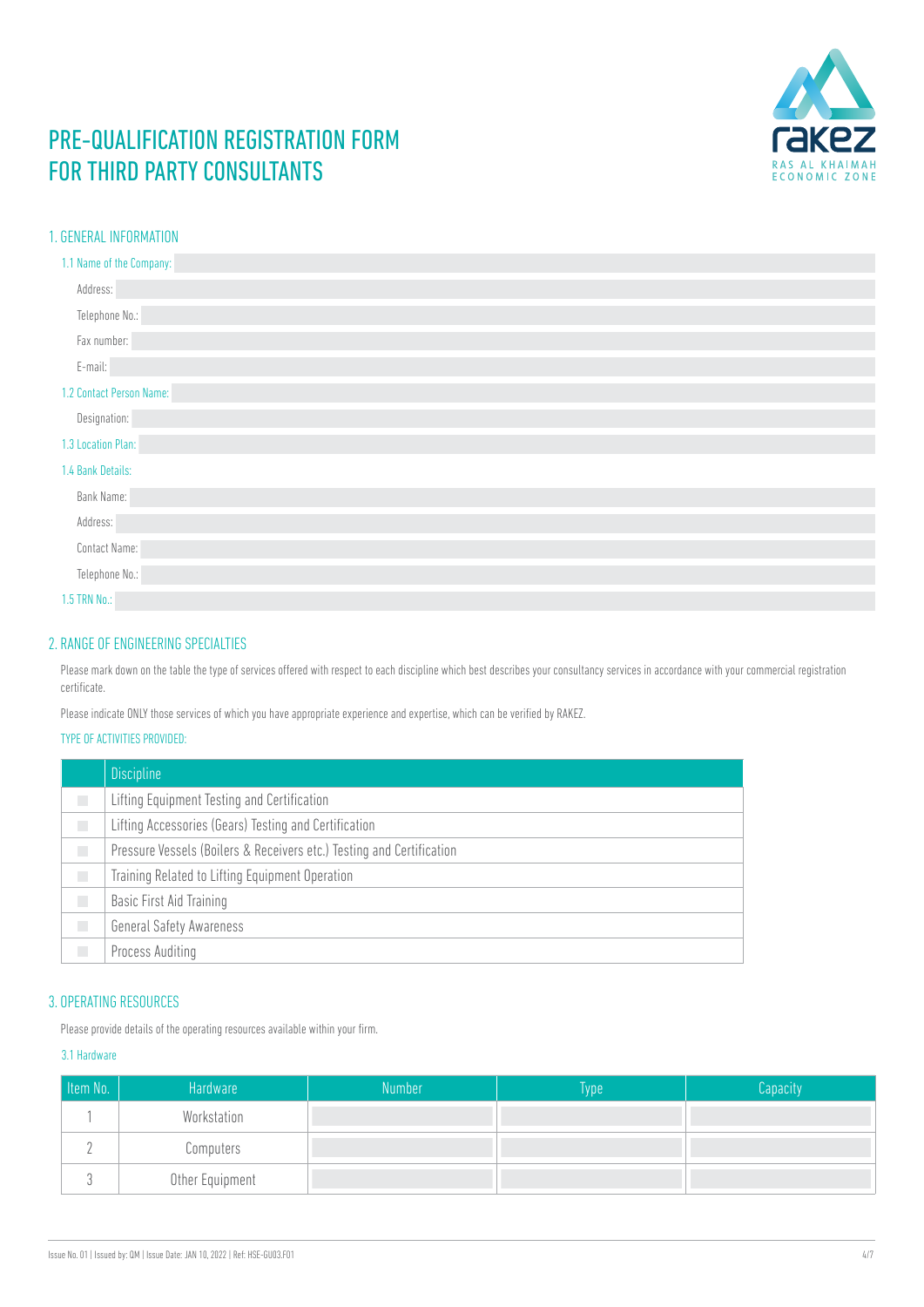

#### <span id="page-3-0"></span>1. GENERAL INFORMATION

| 1.1 Name of the Company: |
|--------------------------|
| Address:                 |
| Telephone No.:           |
| Fax number:              |
| E-mail:                  |
| 1.2 Contact Person Name: |
| Designation:             |
| 1.3 Location Plan:       |
| 1.4 Bank Details:        |
| Bank Name:               |
| Address:                 |
| Contact Name:            |
| Telephone No.:           |
| 1.5 TRN No.:             |

#### 2. RANGE OF ENGINEERING SPECIALTIES

Please mark down on the table the type of services offered with respect to each discipline which best describes your consultancy services in accordance with your commercial registration certificate.

Please indicate ONLY those services of which you have appropriate experience and expertise, which can be verified by RAKEZ.

#### TYPE OF ACTIVITIES PROVIDED:

|        | <b>Discipline</b>                                                     |
|--------|-----------------------------------------------------------------------|
|        | Lifting Equipment Testing and Certification                           |
| П      | Lifting Accessories (Gears) Testing and Certification                 |
| П      | Pressure Vessels (Boilers & Receivers etc.) Testing and Certification |
| $\Box$ | Training Related to Lifting Equipment Operation                       |
| $\Box$ | <b>Basic First Aid Training</b>                                       |
| П      | <b>General Safety Awareness</b>                                       |
| $\Box$ | Process Auditing                                                      |

#### 3. OPERATING RESOURCES

Please provide details of the operating resources available within your firm.

#### 3.1 Hardware

| Item No. | Hardware        | <b>Number</b> | Type <sup>1</sup> | Capacity |
|----------|-----------------|---------------|-------------------|----------|
|          | Workstation     |               |                   |          |
|          | Computers       |               |                   |          |
|          | Other Equipment |               |                   |          |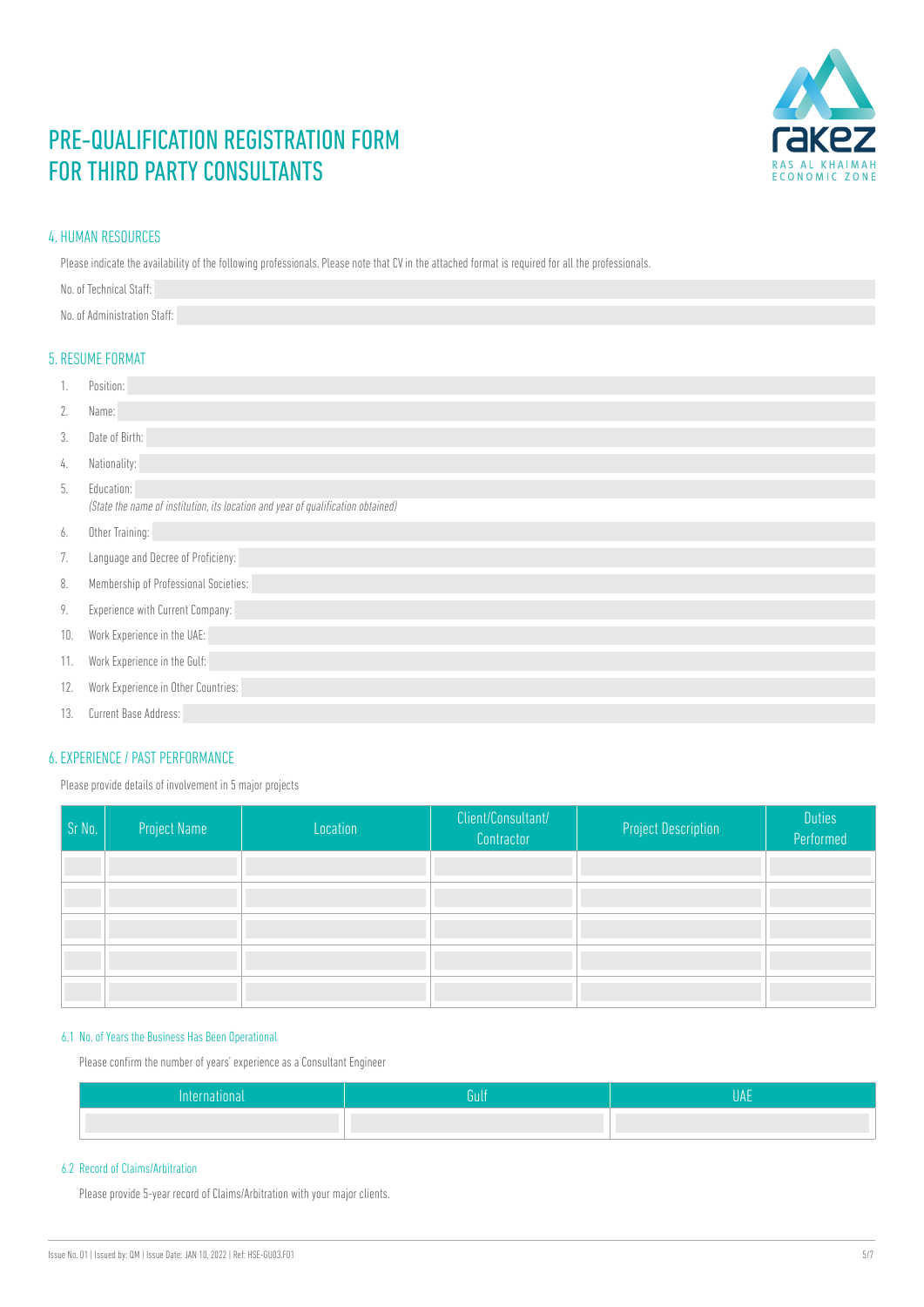

#### <span id="page-4-0"></span>4. HUMAN RESOURCES

Please indicate the availability of the following professionals. Please note that CV in the attached format is required for all the professionals.

| No. of Technical Staff:      |  |  |
|------------------------------|--|--|
| No. of Administration Staff: |  |  |

#### 5. RESUME FORMAT

| 1.  | Position:                                                                                      |
|-----|------------------------------------------------------------------------------------------------|
| 2.  | Name:                                                                                          |
| 3.  | Date of Birth:                                                                                 |
| 4.  | Nationality:                                                                                   |
| 5.  | Education:<br>(State the name of institution, its location and year of qualification obtained) |
| 6.  | Other Training:                                                                                |
| 7.  | Language and Decree of Proficieny:                                                             |
| 8.  | Membership of Professional Societies:                                                          |
| 9.  | Experience with Current Company:                                                               |
| 10. | Work Experience in the UAE:                                                                    |
| 11. | Work Experience in the Gulf:                                                                   |
| 12. | Work Experience in Other Countries:                                                            |
| 13. | Current Base Address:                                                                          |

#### 6. EXPERIENCE / PAST PERFORMANCE

Please provide details of involvement in 5 major projects

| Sr No. | <b>Project Name</b> | Location | Client/Consultant/<br>Contractor | <b>Project Description</b> | <b>Duties</b><br>Performed |
|--------|---------------------|----------|----------------------------------|----------------------------|----------------------------|
|        |                     |          |                                  |                            |                            |
|        |                     |          |                                  |                            |                            |
|        |                     |          |                                  |                            |                            |
|        |                     |          |                                  |                            |                            |
|        |                     |          |                                  |                            |                            |

#### 6.1 No. of Years the Business Has Been Operational

Please confirm the number of years' experience as a Consultant Engineer

| วนแ |  |
|-----|--|
|     |  |

#### 6.2 Record of Claims/Arbitration

Please provide 5-year record of Claims/Arbitration with your major clients.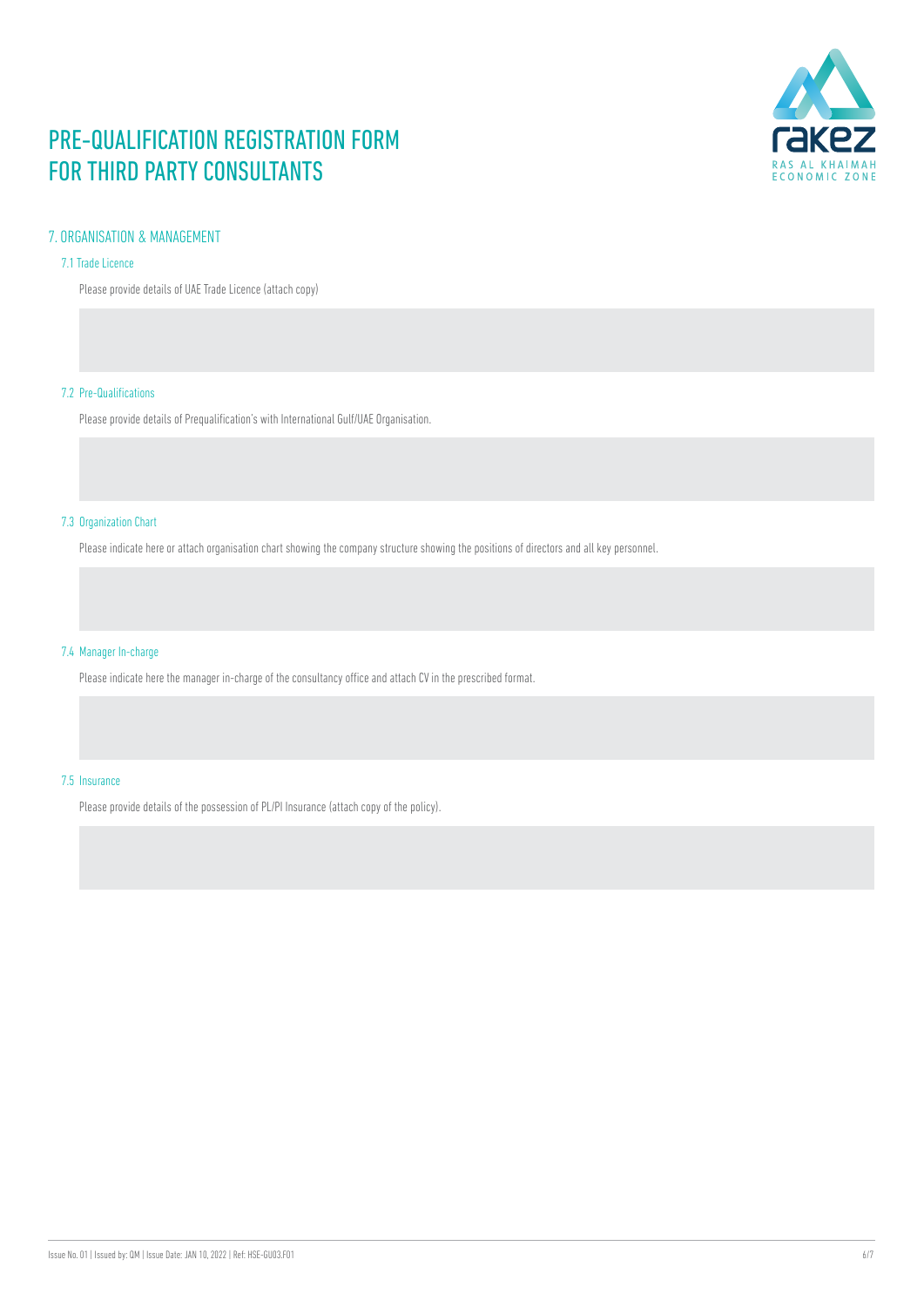

#### <span id="page-5-0"></span>7. ORGANISATION & MANAGEMENT

#### 7.1 Trade Licence

Please provide details of UAE Trade Licence (attach copy)

#### 7.2 Pre-Qualifications

Please provide details of Prequalification's with International Gulf/UAE Organisation.

#### 7.3 Organization Chart

Please indicate here or attach organisation chart showing the company structure showing the positions of directors and all key personnel.

#### 7.4 Manager In-charge

Please indicate here the manager in-charge of the consultancy office and attach CV in the prescribed format.

#### 7.5 Insurance

Please provide details of the possession of PL/PI Insurance (attach copy of the policy).